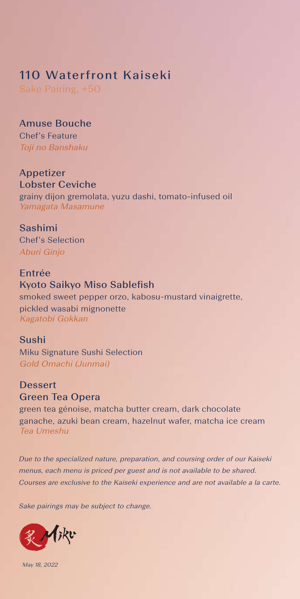# 110 Waterfront Kaiseki

Sake Pairing, +50

Amuse Bouche Chef's Feature Toji no Banshaku

Appetizer Lobster Ceviche

grainy dijon gremolata, yuzu dashi, tomato-infused oil Yamagata Masamune

Sashimi Chef's Selection Aburi Ginjo

Entrée Kyoto Saikyo Miso Sablefish smoked sweet pepper orzo, kabosu-mustard vinaigrette, pickled wasabi mignonette Kagatobi Gokkan

Sushi Miku Signature Sushi Selection Gold Omachi (Junmai)

**Dessert** Green Tea Opera green tea génoise, matcha butter cream, dark chocolate ganache, azuki bean cream, hazelnut wafer, matcha ice cream Tea Umeshu

Due to the specialized nature, preparation, and coursing order of our Kaiseki menus, each menu is priced per guest and is not available to be shared. Courses are exclusive to the Kaiseki experience and are not available a la carte.

Sake pairings may be subject to change.



May 18, 2022